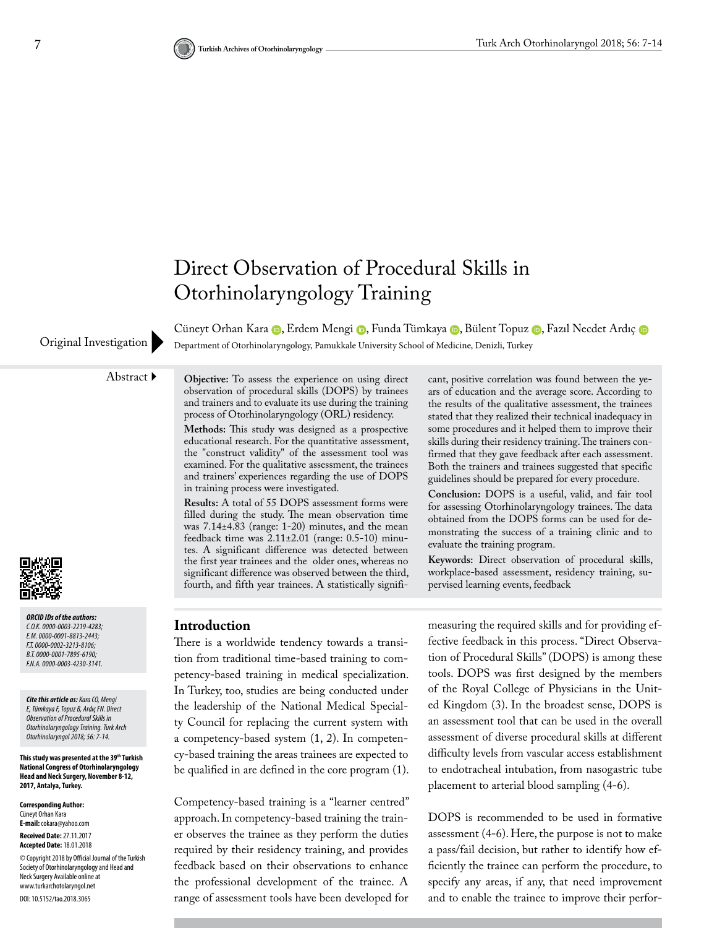

CüneytOrhan Kara (D, Erdem Mengi (D, Funda Tümkaya (D, Bülent Topuz (D, Fazıl Necdet Ardıç (D Original Investigation Department of Otorhinolaryngology, Pamukkale University School of Medicine, Denizli, Turkey

Abstract **Objective:** To assess the experience on using direct observation of procedural skills (DOPS) by trainees and trainers and to evaluate its use during the training process of Otorhinolaryngology (ORL) residency.

> **Methods:** This study was designed as a prospective educational research. For the quantitative assessment, the "construct validity" of the assessment tool was examined. For the qualitative assessment, the trainees and trainers' experiences regarding the use of DOPS in training process were investigated.

> **Results:** A total of 55 DOPS assessment forms were filled during the study. The mean observation time was 7.14±4.83 (range: 1-20) minutes, and the mean feedback time was 2.11±2.01 (range: 0.5-10) minutes. A significant difference was detected between the first year trainees and the older ones, whereas no significant difference was observed between the third, fourth, and fifth year trainees. A statistically signifi

cant, positive correlation was found between the years of education and the average score. According to the results of the qualitative assessment, the trainees stated that they realized their technical inadequacy in some procedures and it helped them to improve their skills during their residency training. The trainers confirmed that they gave feedback after each assessment. Both the trainers and trainees suggested that specific guidelines should be prepared for every procedure.

**Conclusion:** DOPS is a useful, valid, and fair tool for assessing Otorhinolaryngology trainees. The data obtained from the DOPS forms can be used for demonstrating the success of a training clinic and to evaluate the training program.

**Keywords:** Direct observation of procedural skills, workplace-based assessment, residency training, supervised learning events, feedback

*ORCID IDs of the authors: C.O.K. 0000-0003-2219-4283; E.M. 0000-0001-8813-2443; F.T. 0000-0002-3213-8106; B.T. 0000-0001-7895-6190; F.N.A. 0000-0003-4230-3141.*

*Cite this article as: Kara CO, Mengi E, Tümkaya F, Topuz B, Ardıç FN. Direct Observation of Procedural Skills in Otorhinolaryngology Training. Turk Arch Otorhinolaryngol 2018; 56: 7-14.*

**This study was presented at the 39th Turkish National Congress of Otorhinolaryngology Head and Neck Surgery, November 8-12, 2017, Antalya, Turkey.**

**Corresponding Author:**  Cüneyt Orhan Kara **E-mail:** cokara@yahoo.com **Received Date:** 27.11.2017 **Accepted Date:** 18.01.2018 © Copyright 2018 by Official Journal of the Turkish Society of Otorhinolaryngology and Head and Neck Surgery Available online at www.turkarchotolaryngol.net DOI: 10.5152/tao.2018.3065

### **Introduction**

There is a worldwide tendency towards a transition from traditional time-based training to competency-based training in medical specialization. In Turkey, too, studies are being conducted under the leadership of the National Medical Specialty Council for replacing the current system with a competency-based system (1, 2). In competency-based training the areas trainees are expected to be qualified in are defined in the core program (1).

Competency-based training is a "learner centred" approach. In competency-based training the trainer observes the trainee as they perform the duties required by their residency training, and provides feedback based on their observations to enhance the professional development of the trainee. A range of assessment tools have been developed for

measuring the required skills and for providing effective feedback in this process. "Direct Observation of Procedural Skills" (DOPS) is among these tools. DOPS was first designed by the members of the Royal College of Physicians in the United Kingdom (3). In the broadest sense, DOPS is an assessment tool that can be used in the overall assessment of diverse procedural skills at different difficulty levels from vascular access establishment to endotracheal intubation, from nasogastric tube placement to arterial blood sampling (4-6).

DOPS is recommended to be used in formative assessment (4-6). Here, the purpose is not to make a pass/fail decision, but rather to identify how efficiently the trainee can perform the procedure, to specify any areas, if any, that need improvement and to enable the trainee to improve their perfor-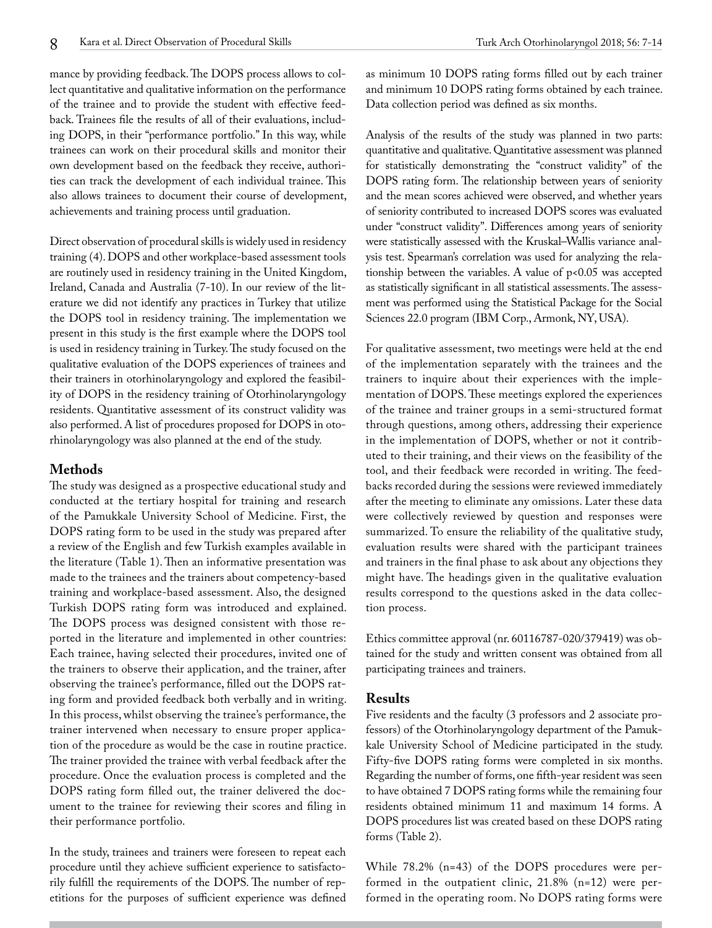mance by providing feedback. The DOPS process allows to collect quantitative and qualitative information on the performance of the trainee and to provide the student with effective feedback. Trainees file the results of all of their evaluations, including DOPS, in their "performance portfolio." In this way, while trainees can work on their procedural skills and monitor their own development based on the feedback they receive, authorities can track the development of each individual trainee. This also allows trainees to document their course of development, achievements and training process until graduation.

Direct observation of procedural skills is widely used in residency training (4). DOPS and other workplace-based assessment tools are routinely used in residency training in the United Kingdom, Ireland, Canada and Australia (7-10). In our review of the literature we did not identify any practices in Turkey that utilize the DOPS tool in residency training. The implementation we present in this study is the first example where the DOPS tool is used in residency training in Turkey. The study focused on the qualitative evaluation of the DOPS experiences of trainees and their trainers in otorhinolaryngology and explored the feasibility of DOPS in the residency training of Otorhinolaryngology residents. Quantitative assessment of its construct validity was also performed. A list of procedures proposed for DOPS in otorhinolaryngology was also planned at the end of the study.

# **Methods**

The study was designed as a prospective educational study and conducted at the tertiary hospital for training and research of the Pamukkale University School of Medicine. First, the DOPS rating form to be used in the study was prepared after a review of the English and few Turkish examples available in the literature (Table 1). Then an informative presentation was made to the trainees and the trainers about competency-based training and workplace-based assessment. Also, the designed Turkish DOPS rating form was introduced and explained. The DOPS process was designed consistent with those reported in the literature and implemented in other countries: Each trainee, having selected their procedures, invited one of the trainers to observe their application, and the trainer, after observing the trainee's performance, filled out the DOPS rating form and provided feedback both verbally and in writing. In this process, whilst observing the trainee's performance, the trainer intervened when necessary to ensure proper application of the procedure as would be the case in routine practice. The trainer provided the trainee with verbal feedback after the procedure. Once the evaluation process is completed and the DOPS rating form filled out, the trainer delivered the document to the trainee for reviewing their scores and filing in their performance portfolio.

In the study, trainees and trainers were foreseen to repeat each procedure until they achieve sufficient experience to satisfactorily fulfill the requirements of the DOPS. The number of repetitions for the purposes of sufficient experience was defined Data collection period was defined as six months.

Analysis of the results of the study was planned in two parts: quantitative and qualitative. Quantitative assessment was planned for statistically demonstrating the "construct validity" of the DOPS rating form. The relationship between years of seniority and the mean scores achieved were observed, and whether years of seniority contributed to increased DOPS scores was evaluated under "construct validity". Differences among years of seniority were statistically assessed with the Kruskal–Wallis variance analysis test. Spearman's correlation was used for analyzing the relationship between the variables. A value of  $p$ <0.05 was accepted as statistically significant in all statistical assessments. The assessment was performed using the Statistical Package for the Social Sciences 22.0 program (IBM Corp., Armonk, NY, USA).

For qualitative assessment, two meetings were held at the end of the implementation separately with the trainees and the trainers to inquire about their experiences with the implementation of DOPS. These meetings explored the experiences of the trainee and trainer groups in a semi-structured format through questions, among others, addressing their experience in the implementation of DOPS, whether or not it contributed to their training, and their views on the feasibility of the tool, and their feedback were recorded in writing. The feedbacks recorded during the sessions were reviewed immediately after the meeting to eliminate any omissions. Later these data were collectively reviewed by question and responses were summarized. To ensure the reliability of the qualitative study, evaluation results were shared with the participant trainees and trainers in the final phase to ask about any objections they might have. The headings given in the qualitative evaluation results correspond to the questions asked in the data collection process.

Ethics committee approval (nr. 60116787-020/379419) was obtained for the study and written consent was obtained from all participating trainees and trainers.

## **Results**

Five residents and the faculty (3 professors and 2 associate professors) of the Otorhinolaryngology department of the Pamukkale University School of Medicine participated in the study. Fifty-five DOPS rating forms were completed in six months. Regarding the number of forms, one fifth-year resident was seen to have obtained 7 DOPS rating forms while the remaining four residents obtained minimum 11 and maximum 14 forms. A DOPS procedures list was created based on these DOPS rating forms (Table 2).

While 78.2% (n=43) of the DOPS procedures were performed in the outpatient clinic, 21.8% (n=12) were performed in the operating room. No DOPS rating forms were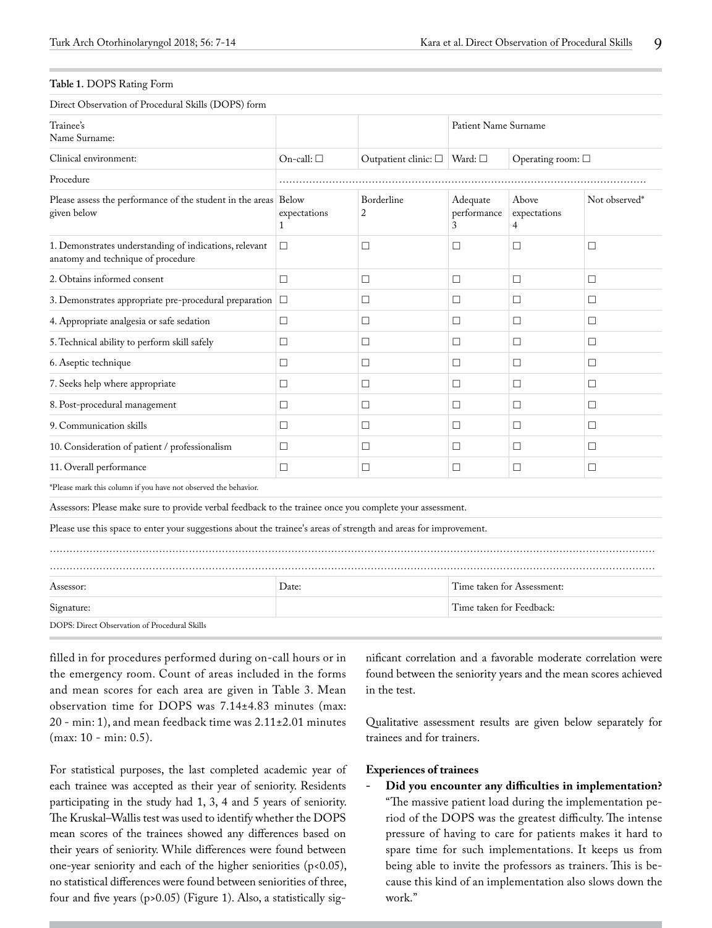#### **Table 1.** DOPS Rating Form

Direct Observation of Procedural Skills (DOPS) form

| Trainee's<br>Name Surname:                                                                                       |                                     |                                              | Patient Name Surname         |                            |               |
|------------------------------------------------------------------------------------------------------------------|-------------------------------------|----------------------------------------------|------------------------------|----------------------------|---------------|
| Clinical environment:                                                                                            | On-call: $\square$                  | Outpatient clinic: $\square$ Ward: $\square$ |                              | Operating room: $\square$  |               |
| Procedure                                                                                                        |                                     |                                              |                              |                            |               |
| Please assess the performance of the student in the areas Below<br>given below                                   | expectations<br>$\mathbf{1}$        | Borderline<br>$\overline{2}$                 | Adequate<br>performance<br>3 | Above<br>expectations<br>4 | Not observed* |
| 1. Demonstrates understanding of indications, relevant<br>anatomy and technique of procedure                     | $\Box$                              | $\Box$                                       | $\Box$                       | П                          | $\Box$        |
| 2. Obtains informed consent                                                                                      | $\Box$                              | $\Box$                                       | $\Box$                       | П                          | $\Box$        |
| 3. Demonstrates appropriate pre-procedural preparation $\Box$                                                    |                                     | □                                            | $\Box$                       | □                          | $\Box$        |
| 4. Appropriate analgesia or safe sedation                                                                        | □                                   | □                                            | $\Box$                       | □                          | $\Box$        |
| 5. Technical ability to perform skill safely                                                                     | $\Box$                              | $\Box$                                       | $\Box$                       | $\Box$                     | $\Box$        |
| 6. Aseptic technique                                                                                             | $\Box$                              | $\Box$                                       | $\Box$                       | $\Box$                     | $\Box$        |
| 7. Seeks help where appropriate                                                                                  | $\Box$                              | $\Box$                                       | $\Box$                       | П                          | $\Box$        |
| 8. Post-procedural management                                                                                    | □                                   | □                                            | $\Box$                       | □                          | $\Box$        |
| 9. Communication skills                                                                                          | $\Box$                              | $\Box$                                       | $\Box$                       | П                          | $\Box$        |
| 10. Consideration of patient / professionalism                                                                   | □                                   | □                                            | $\Box$                       | $\Box$                     | □             |
| 11. Overall performance                                                                                          | $\Box$                              | $\Box$                                       | $\Box$                       | П                          | $\Box$        |
| *Please mark this column if you have not observed the behavior.                                                  |                                     |                                              |                              |                            |               |
| Assessors: Please make sure to provide verbal feedback to the trainee once you complete your assessment.         |                                     |                                              |                              |                            |               |
| Please use this space to enter your suggestions about the trainee's areas of strength and areas for improvement. |                                     |                                              |                              |                            |               |
|                                                                                                                  |                                     |                                              |                              |                            |               |
| Assessor:                                                                                                        | Date:<br>Time taken for Assessment: |                                              |                              |                            |               |
| Signature:                                                                                                       | Time taken for Feedback:            |                                              |                              |                            |               |
| DOPS: Direct Observation of Procedural Skills                                                                    |                                     |                                              |                              |                            |               |
|                                                                                                                  |                                     |                                              |                              |                            |               |

filled in for procedures performed during on-call hours or in the emergency room. Count of areas included in the forms and mean scores for each area are given in Table 3. Mean observation time for DOPS was 7.14±4.83 minutes (max: 20 - min: 1), and mean feedback time was 2.11±2.01 minutes (max: 10 - min: 0.5).

For statistical purposes, the last completed academic year of each trainee was accepted as their year of seniority. Residents participating in the study had 1, 3, 4 and 5 years of seniority. The Kruskal–Wallis test was used to identify whether the DOPS mean scores of the trainees showed any differences based on their years of seniority. While differences were found between one-year seniority and each of the higher seniorities (p<0.05), no statistical differences were found between seniorities of three, four and five years (p>0.05) (Figure 1). Also, a statistically significant correlation and a favorable moderate correlation were found between the seniority years and the mean scores achieved in the test.

Qualitative assessment results are given below separately for trainees and for trainers.

#### **Experiences of trainees**

**- Did you encounter any difficulties in implementation?**  "The massive patient load during the implementation period of the DOPS was the greatest difficulty. The intense pressure of having to care for patients makes it hard to spare time for such implementations. It keeps us from being able to invite the professors as trainers. This is because this kind of an implementation also slows down the work."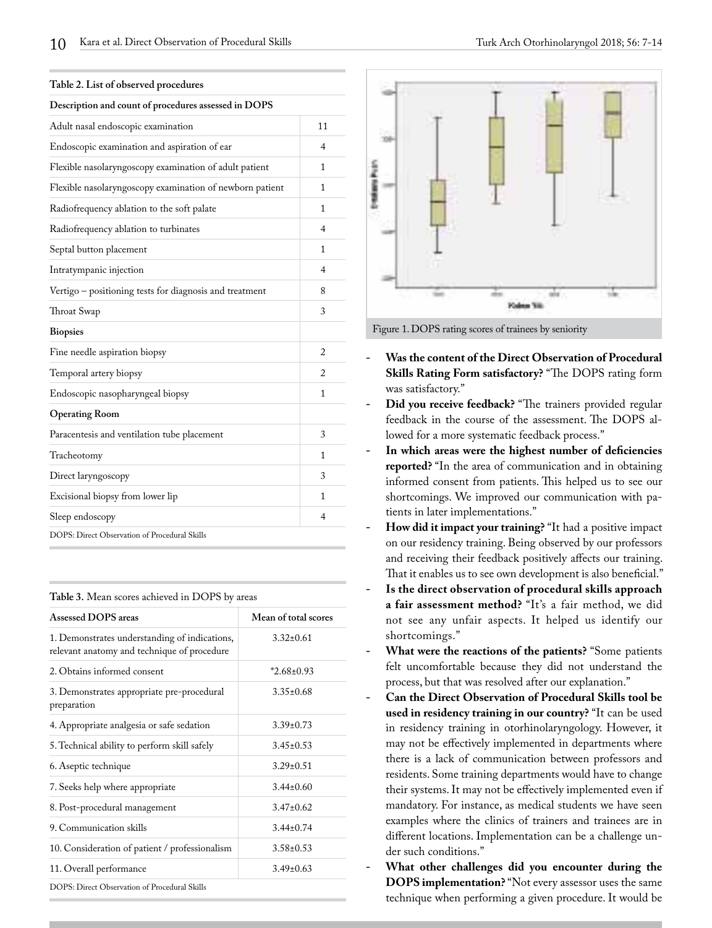| Description and count of procedures assessed in DOPS     |                          |
|----------------------------------------------------------|--------------------------|
| Adult nasal endoscopic examination                       | 11                       |
| Endoscopic examination and aspiration of ear             | $\overline{\mathcal{A}}$ |
| Flexible nasolaryngoscopy examination of adult patient   | 1                        |
| Flexible nasolaryngoscopy examination of newborn patient | 1                        |
| Radiofrequency ablation to the soft palate               | 1                        |
| Radiofrequency ablation to turbinates                    | 4                        |
| Septal button placement                                  | 1                        |
| Intratympanic injection                                  | 4                        |
| Vertigo – positioning tests for diagnosis and treatment  | 8                        |
| Throat Swap                                              | 3                        |
| <b>Biopsies</b>                                          |                          |
| Fine needle aspiration biopsy                            | 2                        |
| Temporal artery biopsy                                   | $\mathfrak{D}$           |
| Endoscopic nasopharyngeal biopsy                         | 1                        |
| <b>Operating Room</b>                                    |                          |
| Paracentesis and ventilation tube placement              | 3                        |
| Tracheotomy                                              | 1                        |
| Direct laryngoscopy                                      | 3                        |
| Excisional biopsy from lower lip                         | 1                        |
| Sleep endoscopy                                          | 4                        |
| DOPS: Direct Observation of Procedural Skills            |                          |

| Table 3. Mean scores achieved in DOPS by areas |
|------------------------------------------------|
|------------------------------------------------|

| Assessed DOPS areas                                                                          | Mean of total scores |  |
|----------------------------------------------------------------------------------------------|----------------------|--|
| 1. Demonstrates understanding of indications,<br>relevant anatomy and technique of procedure | $3.32 + 0.61$        |  |
| 2. Obtains informed consent                                                                  | $*2.68\pm0.93$       |  |
| 3. Demonstrates appropriate pre-procedural<br>preparation                                    | $3.35 \pm 0.68$      |  |
| 4. Appropriate analgesia or safe sedation                                                    | $3.39 \pm 0.73$      |  |
| 5. Technical ability to perform skill safely                                                 | $3.45 + 0.53$        |  |
| 6. Aseptic technique                                                                         | $3.29 \pm 0.51$      |  |
| 7. Seeks help where appropriate                                                              | $3.44 + 0.60$        |  |
| 8. Post-procedural management                                                                | $3.47 + 0.62$        |  |
| 9. Communication skills                                                                      | $3.44 \pm 0.74$      |  |
| 10. Consideration of patient / professionalism                                               | $3.58 \pm 0.53$      |  |
| 11. Overall performance                                                                      | $3.49\pm0.63$        |  |
| DOPS: Direct Observation of Procedural Skills                                                |                      |  |



Figure 1. DOPS rating scores of trainees by seniority

- **- Was the content of the Direct Observation of Procedural Skills Rating Form satisfactory?** "The DOPS rating form was satisfactory."
- **- Did you receive feedback?** "The trainers provided regular feedback in the course of the assessment. The DOPS allowed for a more systematic feedback process."
- **- In which areas were the highest number of deficiencies reported?** "In the area of communication and in obtaining informed consent from patients. This helped us to see our shortcomings. We improved our communication with patients in later implementations."
- **- How did it impact your training?** "It had a positive impact on our residency training. Being observed by our professors and receiving their feedback positively affects our training. That it enables us to see own development is also beneficial."
- **- Is the direct observation of procedural skills approach a fair assessment method?** "It's a fair method, we did not see any unfair aspects. It helped us identify our shortcomings."
- **- What were the reactions of the patients?** "Some patients felt uncomfortable because they did not understand the process, but that was resolved after our explanation."
- **- Can the Direct Observation of Procedural Skills tool be used in residency training in our country?** "It can be used in residency training in otorhinolaryngology. However, it may not be effectively implemented in departments where there is a lack of communication between professors and residents. Some training departments would have to change their systems. It may not be effectively implemented even if mandatory. For instance, as medical students we have seen examples where the clinics of trainers and trainees are in different locations. Implementation can be a challenge under such conditions."
- **- What other challenges did you encounter during the DOPS implementation?** "Not every assessor uses the same technique when performing a given procedure. It would be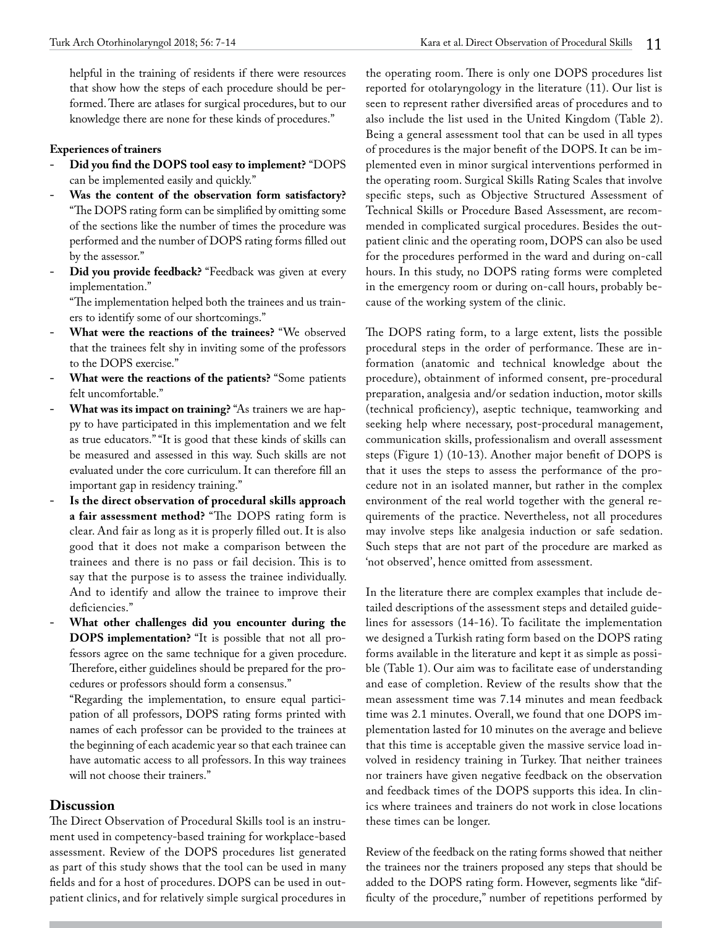helpful in the training of residents if there were resources that show how the steps of each procedure should be performed. There are atlases for surgical procedures, but to our knowledge there are none for these kinds of procedures."

#### **Experiences of trainers**

- **- Did you find the DOPS tool easy to implement?** "DOPS can be implemented easily and quickly."
- **- Was the content of the observation form satisfactory?**  "The DOPS rating form can be simplified by omitting some of the sections like the number of times the procedure was performed and the number of DOPS rating forms filled out by the assessor."
- **- Did you provide feedback?** "Feedback was given at every implementation."

"The implementation helped both the trainees and us trainers to identify some of our shortcomings."

- **- What were the reactions of the trainees?** "We observed that the trainees felt shy in inviting some of the professors to the DOPS exercise."
- **- What were the reactions of the patients?** "Some patients felt uncomfortable."
- **What was its impact on training?** "As trainers we are happy to have participated in this implementation and we felt as true educators." "It is good that these kinds of skills can be measured and assessed in this way. Such skills are not evaluated under the core curriculum. It can therefore fill an important gap in residency training."
- **- Is the direct observation of procedural skills approach a fair assessment method?** "The DOPS rating form is clear. And fair as long as it is properly filled out. It is also good that it does not make a comparison between the trainees and there is no pass or fail decision. This is to say that the purpose is to assess the trainee individually. And to identify and allow the trainee to improve their deficiencies."
- **- What other challenges did you encounter during the DOPS implementation?** "It is possible that not all professors agree on the same technique for a given procedure. Therefore, either guidelines should be prepared for the procedures or professors should form a consensus."

"Regarding the implementation, to ensure equal participation of all professors, DOPS rating forms printed with names of each professor can be provided to the trainees at the beginning of each academic year so that each trainee can have automatic access to all professors. In this way trainees will not choose their trainers."

# **Discussion**

The Direct Observation of Procedural Skills tool is an instrument used in competency-based training for workplace-based assessment. Review of the DOPS procedures list generated as part of this study shows that the tool can be used in many fields and for a host of procedures. DOPS can be used in outpatient clinics, and for relatively simple surgical procedures in the operating room. There is only one DOPS procedures list reported for otolaryngology in the literature (11). Our list is seen to represent rather diversified areas of procedures and to also include the list used in the United Kingdom (Table 2). Being a general assessment tool that can be used in all types of procedures is the major benefit of the DOPS. It can be implemented even in minor surgical interventions performed in the operating room. Surgical Skills Rating Scales that involve specific steps, such as Objective Structured Assessment of Technical Skills or Procedure Based Assessment, are recommended in complicated surgical procedures. Besides the outpatient clinic and the operating room, DOPS can also be used for the procedures performed in the ward and during on-call hours. In this study, no DOPS rating forms were completed in the emergency room or during on-call hours, probably because of the working system of the clinic.

The DOPS rating form, to a large extent, lists the possible procedural steps in the order of performance. These are information (anatomic and technical knowledge about the procedure), obtainment of informed consent, pre-procedural preparation, analgesia and/or sedation induction, motor skills (technical proficiency), aseptic technique, teamworking and seeking help where necessary, post-procedural management, communication skills, professionalism and overall assessment steps (Figure 1) (10-13). Another major benefit of DOPS is that it uses the steps to assess the performance of the procedure not in an isolated manner, but rather in the complex environment of the real world together with the general requirements of the practice. Nevertheless, not all procedures may involve steps like analgesia induction or safe sedation. Such steps that are not part of the procedure are marked as 'not observed', hence omitted from assessment.

In the literature there are complex examples that include detailed descriptions of the assessment steps and detailed guidelines for assessors (14-16). To facilitate the implementation we designed a Turkish rating form based on the DOPS rating forms available in the literature and kept it as simple as possible (Table 1). Our aim was to facilitate ease of understanding and ease of completion. Review of the results show that the mean assessment time was 7.14 minutes and mean feedback time was 2.1 minutes. Overall, we found that one DOPS implementation lasted for 10 minutes on the average and believe that this time is acceptable given the massive service load involved in residency training in Turkey. That neither trainees nor trainers have given negative feedback on the observation and feedback times of the DOPS supports this idea. In clinics where trainees and trainers do not work in close locations these times can be longer.

Review of the feedback on the rating forms showed that neither the trainees nor the trainers proposed any steps that should be added to the DOPS rating form. However, segments like "difficulty of the procedure," number of repetitions performed by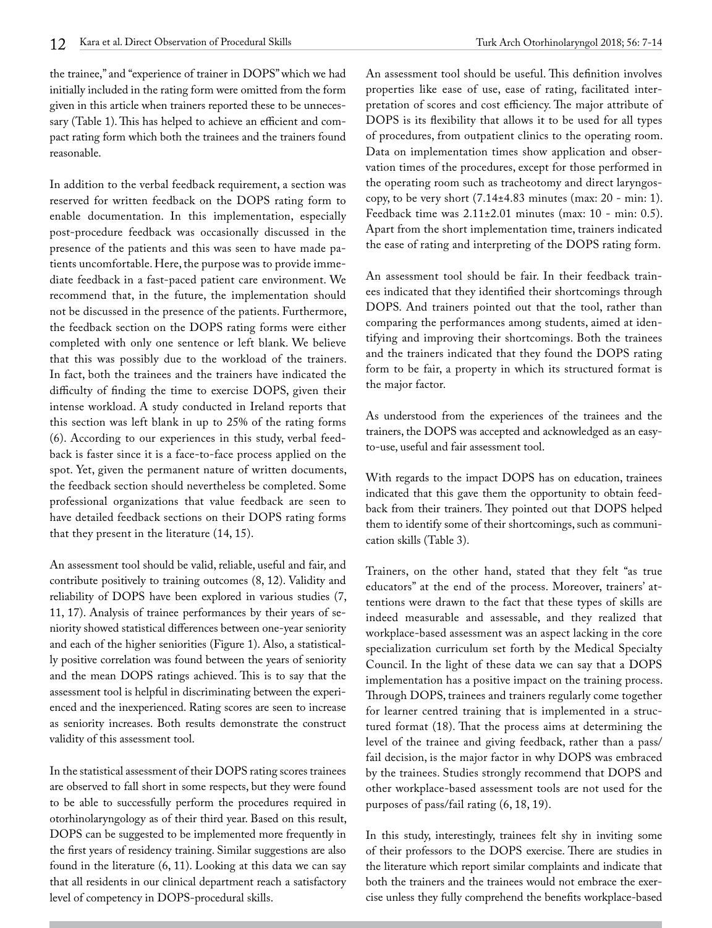the trainee," and "experience of trainer in DOPS" which we had initially included in the rating form were omitted from the form given in this article when trainers reported these to be unnecessary (Table 1). This has helped to achieve an efficient and compact rating form which both the trainees and the trainers found reasonable.

In addition to the verbal feedback requirement, a section was reserved for written feedback on the DOPS rating form to enable documentation. In this implementation, especially post-procedure feedback was occasionally discussed in the presence of the patients and this was seen to have made patients uncomfortable. Here, the purpose was to provide immediate feedback in a fast-paced patient care environment. We recommend that, in the future, the implementation should not be discussed in the presence of the patients. Furthermore, the feedback section on the DOPS rating forms were either completed with only one sentence or left blank. We believe that this was possibly due to the workload of the trainers. In fact, both the trainees and the trainers have indicated the difficulty of finding the time to exercise DOPS, given their intense workload. A study conducted in Ireland reports that this section was left blank in up to 25% of the rating forms (6). According to our experiences in this study, verbal feedback is faster since it is a face-to-face process applied on the spot. Yet, given the permanent nature of written documents, the feedback section should nevertheless be completed. Some professional organizations that value feedback are seen to have detailed feedback sections on their DOPS rating forms that they present in the literature (14, 15).

An assessment tool should be valid, reliable, useful and fair, and contribute positively to training outcomes (8, 12). Validity and reliability of DOPS have been explored in various studies (7, 11, 17). Analysis of trainee performances by their years of seniority showed statistical differences between one-year seniority and each of the higher seniorities (Figure 1). Also, a statistically positive correlation was found between the years of seniority and the mean DOPS ratings achieved. This is to say that the assessment tool is helpful in discriminating between the experienced and the inexperienced. Rating scores are seen to increase as seniority increases. Both results demonstrate the construct validity of this assessment tool.

In the statistical assessment of their DOPS rating scores trainees are observed to fall short in some respects, but they were found to be able to successfully perform the procedures required in otorhinolaryngology as of their third year. Based on this result, DOPS can be suggested to be implemented more frequently in the first years of residency training. Similar suggestions are also found in the literature (6, 11). Looking at this data we can say that all residents in our clinical department reach a satisfactory level of competency in DOPS-procedural skills.

An assessment tool should be useful. This definition involves properties like ease of use, ease of rating, facilitated interpretation of scores and cost efficiency. The major attribute of DOPS is its flexibility that allows it to be used for all types of procedures, from outpatient clinics to the operating room. Data on implementation times show application and observation times of the procedures, except for those performed in the operating room such as tracheotomy and direct laryngoscopy, to be very short  $(7.14\pm4.83 \text{ minutes (max: } 20 \text{ - min: } 1).$ Feedback time was 2.11±2.01 minutes (max: 10 - min: 0.5). Apart from the short implementation time, trainers indicated the ease of rating and interpreting of the DOPS rating form.

An assessment tool should be fair. In their feedback trainees indicated that they identified their shortcomings through DOPS. And trainers pointed out that the tool, rather than comparing the performances among students, aimed at identifying and improving their shortcomings. Both the trainees and the trainers indicated that they found the DOPS rating form to be fair, a property in which its structured format is the major factor.

As understood from the experiences of the trainees and the trainers, the DOPS was accepted and acknowledged as an easyto-use, useful and fair assessment tool.

With regards to the impact DOPS has on education, trainees indicated that this gave them the opportunity to obtain feedback from their trainers. They pointed out that DOPS helped them to identify some of their shortcomings, such as communication skills (Table 3).

Trainers, on the other hand, stated that they felt "as true educators" at the end of the process. Moreover, trainers' attentions were drawn to the fact that these types of skills are indeed measurable and assessable, and they realized that workplace-based assessment was an aspect lacking in the core specialization curriculum set forth by the Medical Specialty Council. In the light of these data we can say that a DOPS implementation has a positive impact on the training process. Through DOPS, trainees and trainers regularly come together for learner centred training that is implemented in a structured format (18). That the process aims at determining the level of the trainee and giving feedback, rather than a pass/ fail decision, is the major factor in why DOPS was embraced by the trainees. Studies strongly recommend that DOPS and other workplace-based assessment tools are not used for the purposes of pass/fail rating (6, 18, 19).

In this study, interestingly, trainees felt shy in inviting some of their professors to the DOPS exercise. There are studies in the literature which report similar complaints and indicate that both the trainers and the trainees would not embrace the exercise unless they fully comprehend the benefits workplace-based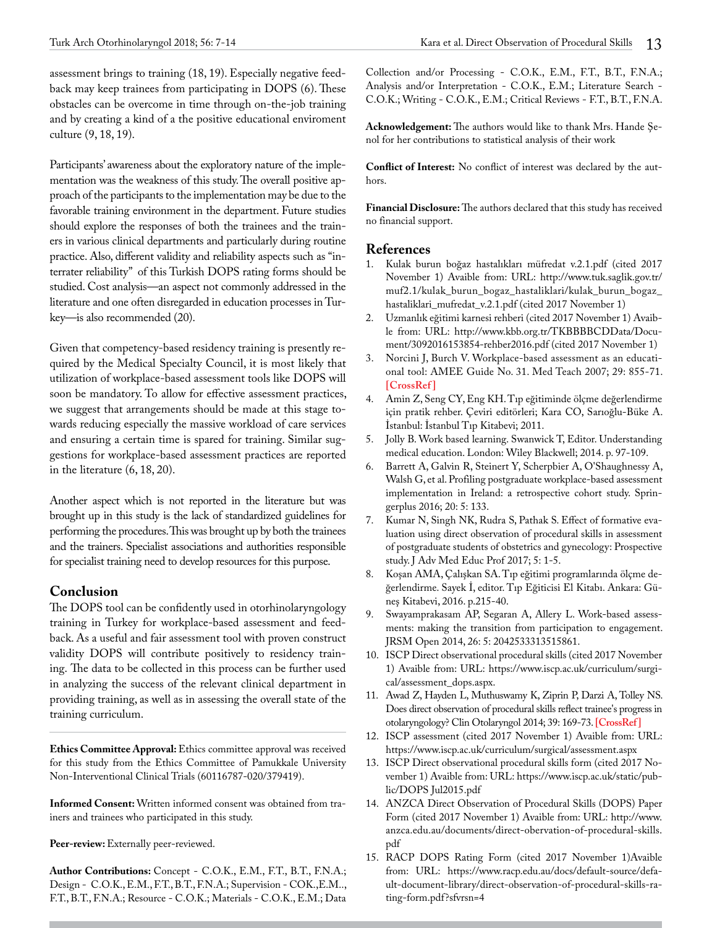assessment brings to training (18, 19). Especially negative feedback may keep trainees from participating in DOPS (6). These obstacles can be overcome in time through on-the-job training and by creating a kind of a the positive educational enviroment culture (9, 18, 19).

Participants' awareness about the exploratory nature of the implementation was the weakness of this study. The overall positive approach of the participants to the implementation may be due to the favorable training environment in the department. Future studies should explore the responses of both the trainees and the trainers in various clinical departments and particularly during routine practice. Also, different validity and reliability aspects such as "interrater reliability" of this Turkish DOPS rating forms should be studied. Cost analysis—an aspect not commonly addressed in the literature and one often disregarded in education processes in Turkey—is also recommended (20).

Given that competency-based residency training is presently required by the Medical Specialty Council, it is most likely that utilization of workplace-based assessment tools like DOPS will soon be mandatory. To allow for effective assessment practices, we suggest that arrangements should be made at this stage towards reducing especially the massive workload of care services and ensuring a certain time is spared for training. Similar suggestions for workplace-based assessment practices are reported in the literature (6, 18, 20).

Another aspect which is not reported in the literature but was brought up in this study is the lack of standardized guidelines for performing the procedures. This was brought up by both the trainees and the trainers. Specialist associations and authorities responsible for specialist training need to develop resources for this purpose.

# **Conclusion**

The DOPS tool can be confidently used in otorhinolaryngology training in Turkey for workplace-based assessment and feedback. As a useful and fair assessment tool with proven construct validity DOPS will contribute positively to residency training. The data to be collected in this process can be further used in analyzing the success of the relevant clinical department in providing training, as well as in assessing the overall state of the training curriculum.

**Ethics Committee Approval:** Ethics committee approval was received for this study from the Ethics Committee of Pamukkale University Non-Interventional Clinical Trials (60116787-020/379419).

**Informed Consent:** Written informed consent was obtained from trainers and trainees who participated in this study.

Peer-review: Externally peer-reviewed.

**Author Contributions:** Concept - C.O.K., E.M., F.T., B.T., F.N.A.; Design - C.O.K., E.M., F.T., B.T., F.N.A.; Supervision - COK.,E.M.., F.T., B.T., F.N.A.; Resource - C.O.K.; Materials - C.O.K., E.M.; Data

Collection and/or Processing - C.O.K., E.M., F.T., B.T., F.N.A.; Analysis and/or Interpretation - C.O.K., E.M.; Literature Search - C.O.K.; Writing - C.O.K., E.M.; Critical Reviews - F.T., B.T., F.N.A.

**Acknowledgement:** The authors would like to thank Mrs. Hande Şenol for her contributions to statistical analysis of their work

**Conflict of Interest:** No conflict of interest was declared by the authors.

**Financial Disclosure:** The authors declared that this study has received no financial support.

# **References**

- 1. Kulak burun boğaz hastalıkları müfredat v.2.1.pdf (cited 2017 November 1) Avaible from: URL: http://www.tuk.saglik.gov.tr/ muf2.1/kulak\_burun\_bogaz\_hastaliklari/kulak\_burun\_bogaz\_ hastaliklari\_mufredat\_v.2.1.pdf (cited 2017 November 1)
- 2. Uzmanlık eğitimi karnesi rehberi (cited 2017 November 1) Avaible from: URL: http://www.kbb.org.tr/TKBBBBCDData/Document/3092016153854-rehber2016.pdf (cited 2017 November 1)
- 3. Norcini J, Burch V. Workplace-based assessment as an educational tool: AMEE Guide No. 31. Med Teach 2007; 29: 855-71. **[\[CrossRef \]](https://doi.org/10.1080/01421590701775453)**
- 4. Amin Z, Seng CY, Eng KH. Tıp eğitiminde ölçme değerlendirme için pratik rehber. Çeviri editörleri; Kara CO, Sarıoğlu-Büke A. İstanbul: İstanbul Tıp Kitabevi; 2011.
- 5. Jolly B. Work based learning. Swanwick T, Editor. Understanding medical education. London: Wiley Blackwell; 2014. p. 97-109.
- 6. Barrett A, Galvin R, Steinert Y, Scherpbier A, O'Shaughnessy A, Walsh G, et al. Profiling postgraduate workplace-based assessment implementation in Ireland: a retrospective cohort study. Springerplus 2016; 20: 5: 133.
- 7. Kumar N, Singh NK, Rudra S, Pathak S. Effect of formative evaluation using direct observation of procedural skills in assessment of postgraduate students of obstetrics and gynecology: Prospective study. J Adv Med Educ Prof 2017; 5: 1-5.
- 8. Koşan AMA, Çalışkan SA. Tıp eğitimi programlarında ölçme değerlendirme. Sayek İ, editor. Tıp Eğiticisi El Kitabı. Ankara: Güneş Kitabevi, 2016. p.215-40.
- 9. Swayamprakasam AP, Segaran A, Allery L. Work-based assessments: making the transition from participation to engagement. JRSM Open 2014, 26: 5: 2042533313515861.
- 10. ISCP Direct observational procedural skills (cited 2017 November 1) Avaible from: URL: https://www.iscp.ac.uk/curriculum/surgical/assessment\_dops.aspx.
- 11. Awad Z, Hayden L, Muthuswamy K, Ziprin P, Darzi A, Tolley NS. Does direct observation of procedural skills reflect trainee's progress in otolaryngology? Clin Otolaryngol 2014; 39: 169-73. **[\[CrossRef\]](https://doi.org/10.1111/coa.12251)**
- 12. ISCP assessment (cited 2017 November 1) Avaible from: URL: https://www.iscp.ac.uk/curriculum/surgical/assessment.aspx
- 13. ISCP Direct observational procedural skills form (cited 2017 November 1) Avaible from: URL: https://www.iscp.ac.uk/static/public/DOPS Jul2015.pdf
- 14. ANZCA Direct Observation of Procedural Skills (DOPS) Paper Form (cited 2017 November 1) Avaible from: URL: http://www. anzca.edu.au/documents/direct-obervation-of-procedural-skills. pdf
- 15. RACP DOPS Rating Form (cited 2017 November 1)Avaible from: URL: https://www.racp.edu.au/docs/default-source/default-document-library/direct-observation-of-procedural-skills-rating-form.pdf?sfvrsn=4